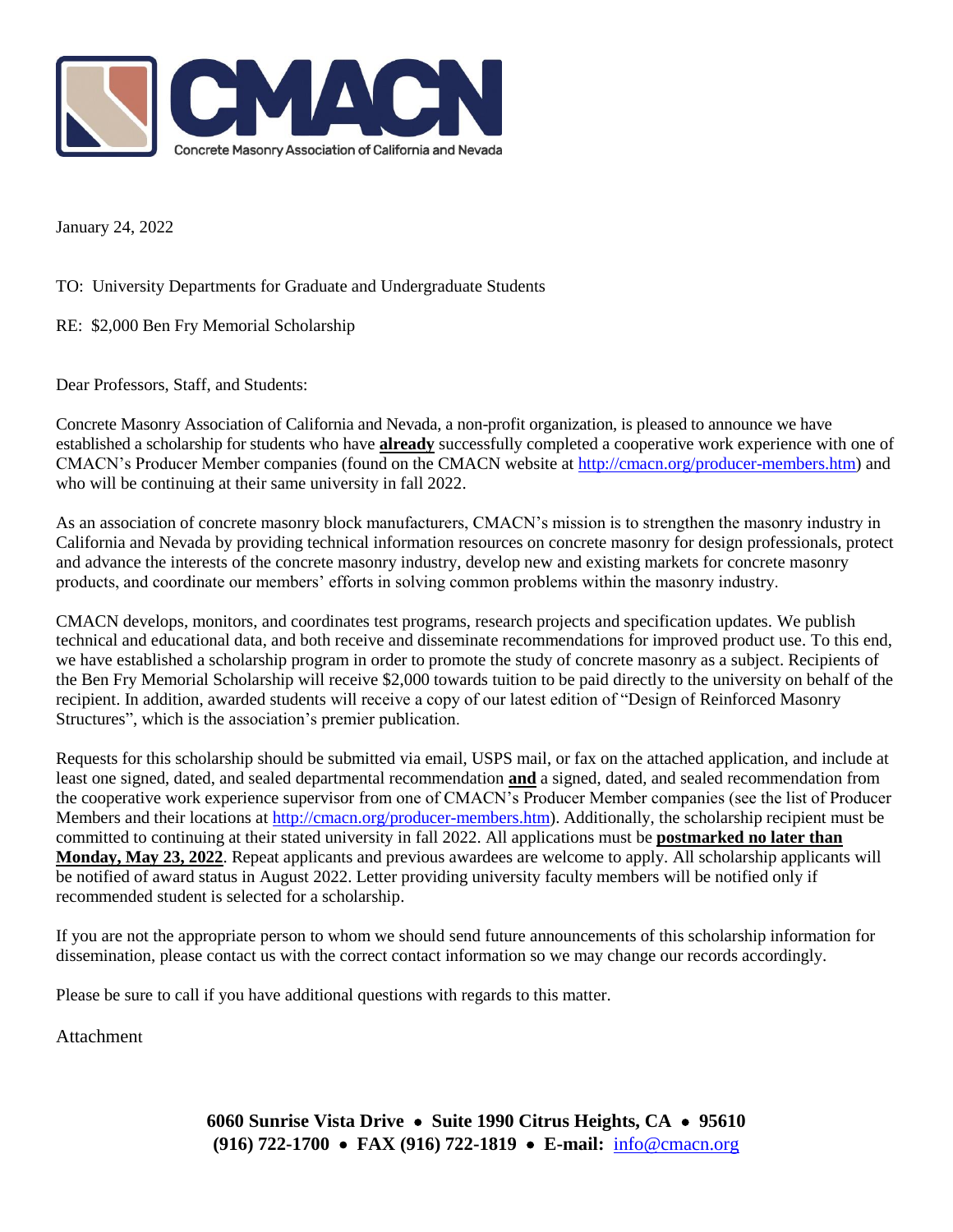

January 24, 2022

TO: University Departments for Graduate and Undergraduate Students

RE: \$2,000 Ben Fry Memorial Scholarship

Dear Professors, Staff, and Students:

Concrete Masonry Association of California and Nevada, a non-profit organization, is pleased to announce we have established a scholarship for students who have **already** successfully completed a cooperative work experience with one of CMACN's Producer Member companies (found on the CMACN website at [http://cmacn.org/producer-members.htm\)](http://cmacn.org/producer-members.htm) and who will be continuing at their same university in fall 2022.

As an association of concrete masonry block manufacturers, CMACN's mission is to strengthen the masonry industry in California and Nevada by providing technical information resources on concrete masonry for design professionals, protect and advance the interests of the concrete masonry industry, develop new and existing markets for concrete masonry products, and coordinate our members' efforts in solving common problems within the masonry industry.

CMACN develops, monitors, and coordinates test programs, research projects and specification updates. We publish technical and educational data, and both receive and disseminate recommendations for improved product use. To this end, we have established a scholarship program in order to promote the study of concrete masonry as a subject. Recipients of the Ben Fry Memorial Scholarship will receive \$2,000 towards tuition to be paid directly to the university on behalf of the recipient. In addition, awarded students will receive a copy of our latest edition of "Design of Reinforced Masonry Structures", which is the association's premier publication.

Requests for this scholarship should be submitted via email, USPS mail, or fax on the attached application, and include at least one signed, dated, and sealed departmental recommendation **and** a signed, dated, and sealed recommendation from the cooperative work experience supervisor from one of CMACN's Producer Member companies (see the list of Producer Members and their locations at [http://cmacn.org/producer-members.htm\)](http://cmacn.org/producer-members.htm). Additionally, the scholarship recipient must be committed to continuing at their stated university in fall 2022. All applications must be **postmarked no later than Monday, May 23, 2022**. Repeat applicants and previous awardees are welcome to apply. All scholarship applicants will be notified of award status in August 2022. Letter providing university faculty members will be notified only if recommended student is selected for a scholarship.

If you are not the appropriate person to whom we should send future announcements of this scholarship information for dissemination, please contact us with the correct contact information so we may change our records accordingly.

Please be sure to call if you have additional questions with regards to this matter.

Attachment